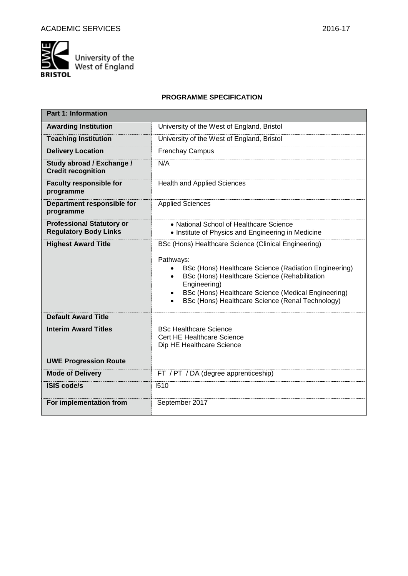

University of the<br>West of England

## **PROGRAMME SPECIFICATION**

| <b>Part 1: Information</b>                                       |                                                                                                                                                                                                                                                                                                        |
|------------------------------------------------------------------|--------------------------------------------------------------------------------------------------------------------------------------------------------------------------------------------------------------------------------------------------------------------------------------------------------|
| <b>Awarding Institution</b>                                      | University of the West of England, Bristol                                                                                                                                                                                                                                                             |
| <b>Teaching Institution</b>                                      | University of the West of England, Bristol                                                                                                                                                                                                                                                             |
| <b>Delivery Location</b>                                         | <b>Frenchay Campus</b>                                                                                                                                                                                                                                                                                 |
| Study abroad / Exchange /<br><b>Credit recognition</b>           | N/A                                                                                                                                                                                                                                                                                                    |
| <b>Faculty responsible for</b><br>programme                      | <b>Health and Applied Sciences</b>                                                                                                                                                                                                                                                                     |
| Department responsible for<br>programme                          | <b>Applied Sciences</b>                                                                                                                                                                                                                                                                                |
| <b>Professional Statutory or</b><br><b>Regulatory Body Links</b> | • National School of Healthcare Science<br>• Institute of Physics and Engineering in Medicine                                                                                                                                                                                                          |
| <b>Highest Award Title</b>                                       | BSc (Hons) Healthcare Science (Clinical Engineering)<br>Pathways:<br>BSc (Hons) Healthcare Science (Radiation Engineering)<br>BSc (Hons) Healthcare Science (Rehabilitation<br>Engineering)<br>BSc (Hons) Healthcare Science (Medical Engineering)<br>BSc (Hons) Healthcare Science (Renal Technology) |
| <b>Default Award Title</b>                                       |                                                                                                                                                                                                                                                                                                        |
| <b>Interim Award Titles</b>                                      | <b>BSc Healthcare Science</b><br>Cert HE Healthcare Science<br>Dip HE Healthcare Science                                                                                                                                                                                                               |
| <b>UWE Progression Route</b>                                     |                                                                                                                                                                                                                                                                                                        |
| <b>Mode of Delivery</b>                                          | FT / PT / DA (degree apprenticeship)                                                                                                                                                                                                                                                                   |
| <b>ISIS code/s</b>                                               | 1510                                                                                                                                                                                                                                                                                                   |
| For implementation from                                          | September 2017                                                                                                                                                                                                                                                                                         |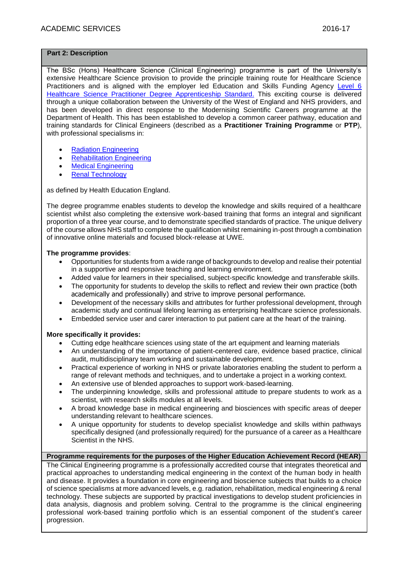#### **Part 2: Description**

The BSc (Hons) Healthcare Science (Clinical Engineering) programme is part of the University's extensive Healthcare Science provision to provide the principle training route for Healthcare Science Practitioners and is aligned with the employer led Education and Skills Funding Agency [Level 6](https://www.gov.uk/government/publications/apprenticeship-standard-healthcare-science-practitioner-degree-apprenticeship)  [Healthcare Science Practitioner Degree Apprenticeship Standard.](https://www.gov.uk/government/publications/apprenticeship-standard-healthcare-science-practitioner-degree-apprenticeship) This exciting course is delivered through a unique collaboration between the University of the West of England and NHS providers, and has been developed in direct response to the Modernising Scientific Careers programme at the Department of Health. This has been established to develop a common career pathway, education and training standards for Clinical Engineers (described as a **Practitioner Training Programme** or **PTP**), with professional specialisms in:

- [Radiation Engineering](http://www.nshcs.hee.nhs.uk/curricula)
- [Rehabilitation Engineering](http://www.nshcs.hee.nhs.uk/curricula)
- [Medical Engineering](http://www.nshcs.hee.nhs.uk/curricula)
- [Renal Technology](http://www.nshcs.hee.nhs.uk/curricula)

as defined by Health Education England.

The degree programme enables students to develop the knowledge and skills required of a healthcare scientist whilst also completing the extensive work-based training that forms an integral and significant proportion of a three year course, and to demonstrate specified standards of practice. The unique delivery of the course allows NHS staff to complete the qualification whilst remaining in-post through a combination of innovative online materials and focused block-release at UWE.

#### **The programme provides**:

- Opportunities for students from a wide range of backgrounds to develop and realise their potential in a supportive and responsive teaching and learning environment.
- Added value for learners in their specialised, subject-specific knowledge and transferable skills.
- The opportunity for students to develop the skills to reflect and review their own practice (both academically and professionally) and strive to improve personal performance.
- Development of the necessary skills and attributes for further professional development, through academic study and continual lifelong learning as enterprising healthcare science professionals.
- Embedded service user and carer interaction to put patient care at the heart of the training.

#### **More specifically it provides:**

- Cutting edge healthcare sciences using state of the art equipment and learning materials
- An understanding of the importance of patient-centered care, evidence based practice, clinical audit, multidisciplinary team working and sustainable development.
- Practical experience of working in NHS or private laboratories enabling the student to perform a range of relevant methods and techniques, and to undertake a project in a working context.
- An extensive use of blended approaches to support work-based-learning.
- The underpinning knowledge, skills and professional attitude to prepare students to work as a scientist, with research skills modules at all levels.
- A broad knowledge base in medical engineering and biosciences with specific areas of deeper understanding relevant to healthcare sciences.
- A unique opportunity for students to develop specialist knowledge and skills within pathways specifically designed (and professionally required) for the pursuance of a career as a Healthcare Scientist in the NHS.

#### **Programme requirements for the purposes of the Higher Education Achievement Record (HEAR)**

The Clinical Engineering programme is a professionally accredited course that integrates theoretical and practical approaches to understanding medical engineering in the context of the human body in health and disease. It provides a foundation in core engineering and bioscience subjects that builds to a choice of science specialisms at more advanced levels, e.g. radiation, rehabilitation, medical engineering & renal technology. These subjects are supported by practical investigations to develop student proficiencies in data analysis, diagnosis and problem solving. Central to the programme is the clinical engineering professional work-based training portfolio which is an essential component of the student's career progression.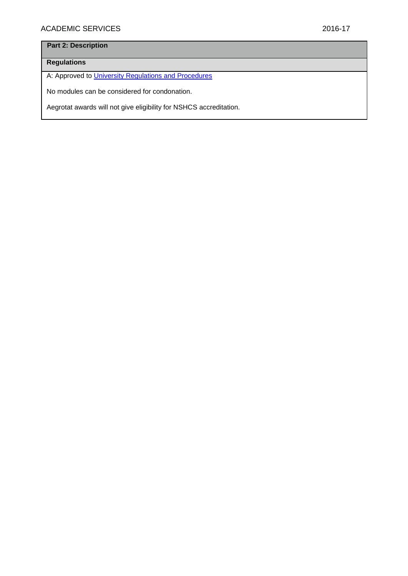# **Part 2: Description**

# **Regulations**

A: Approved to [University Regulations and Procedures](http://www1.uwe.ac.uk/students/academicadvice/assessments/regulationsandprocedures.aspx)

No modules can be considered for condonation.

Aegrotat awards will not give eligibility for NSHCS accreditation.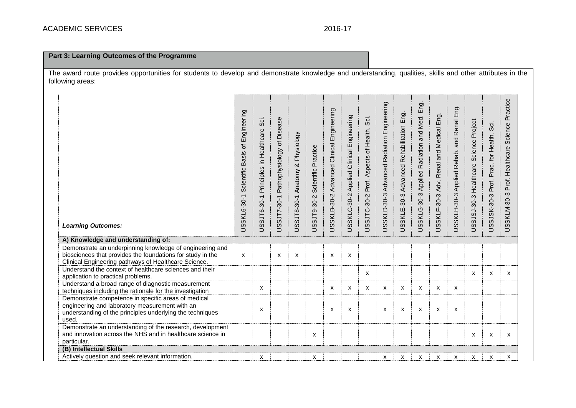## **Part 3: Learning Outcomes of the Programme**

The award route provides opportunities for students to develop and demonstrate knowledge and understanding, qualities, skills and other attributes in the following areas:

| <b>Learning Outcomes:</b>                                                                                                                                                      | Engineering<br>Scientific Basis of<br>USSKL6-30-1 | Sö.<br>Principles in Healthcare<br>USSJT6-30-1 | USSJT7-30-1 Pathophysiology of Disease | Physiology<br>∞<br>USSJT8-30-1 Anatomy | Scientific Practice<br>USSJT9-30-2 | USSKLB-30-2 Advanced Clinical Engineering | USSKLC-30-2 Applied Clinical Engineering | Sci.<br>Prof. Aspects of Health.<br><b>USSJTC-30-2</b> | USSKLD-30-3 Advanced Radiation Engineering | Eng.<br>Advanced Rehabilitation<br>USSKLE-30-3 | Eng.<br>USSKLG-30-3 Applied Radiation and Med. | USSKLF-30-3 Adv. Renal and Medical Eng. | and Renal Eng.<br>USSKLH-30-3 Applied Rehab. | USSJSJ-30-3 Healthcare Science Project | Sci.<br>Prac. for Health.<br>Prof.<br>USSJSK-30-3 | Practice<br>Science<br>Prof. Healthcare<br>USSKLM-30-3 |
|--------------------------------------------------------------------------------------------------------------------------------------------------------------------------------|---------------------------------------------------|------------------------------------------------|----------------------------------------|----------------------------------------|------------------------------------|-------------------------------------------|------------------------------------------|--------------------------------------------------------|--------------------------------------------|------------------------------------------------|------------------------------------------------|-----------------------------------------|----------------------------------------------|----------------------------------------|---------------------------------------------------|--------------------------------------------------------|
| A) Knowledge and understanding of:                                                                                                                                             |                                                   |                                                |                                        |                                        |                                    |                                           |                                          |                                                        |                                            |                                                |                                                |                                         |                                              |                                        |                                                   |                                                        |
| Demonstrate an underpinning knowledge of engineering and<br>biosciences that provides the foundations for study in the<br>Clinical Engineering pathways of Healthcare Science. | X                                                 |                                                | X                                      | X                                      |                                    | X                                         | X                                        |                                                        |                                            |                                                |                                                |                                         |                                              |                                        |                                                   |                                                        |
| Understand the context of healthcare sciences and their<br>application to practical problems.                                                                                  |                                                   |                                                |                                        |                                        |                                    |                                           |                                          | X                                                      |                                            |                                                |                                                |                                         |                                              | $\mathsf{x}$                           | X                                                 | X                                                      |
| Understand a broad range of diagnostic measurement<br>techniques including the rationale for the investigation                                                                 |                                                   | x                                              |                                        |                                        |                                    | x                                         | X                                        | X                                                      | X                                          | X                                              | X                                              | X                                       | X                                            |                                        |                                                   |                                                        |
| Demonstrate competence in specific areas of medical<br>engineering and laboratory measurement with an<br>understanding of the principles underlying the techniques<br>used.    |                                                   | X                                              |                                        |                                        |                                    | X                                         | X                                        |                                                        | X                                          | X                                              | $\boldsymbol{\mathsf{x}}$                      | X                                       | x                                            |                                        |                                                   |                                                        |
| Demonstrate an understanding of the research, development<br>and innovation across the NHS and in healthcare science in<br>particular.                                         |                                                   |                                                |                                        |                                        | $\mathsf{x}$                       |                                           |                                          |                                                        |                                            |                                                |                                                |                                         |                                              | x                                      | $\boldsymbol{\mathsf{x}}$                         | X                                                      |
| (B) Intellectual Skills                                                                                                                                                        |                                                   |                                                |                                        |                                        |                                    |                                           |                                          |                                                        |                                            |                                                |                                                |                                         |                                              |                                        |                                                   |                                                        |
| Actively question and seek relevant information.                                                                                                                               |                                                   | x                                              |                                        |                                        | X                                  |                                           |                                          |                                                        | х                                          | x                                              | x                                              | X                                       | X                                            | x                                      | X                                                 | X                                                      |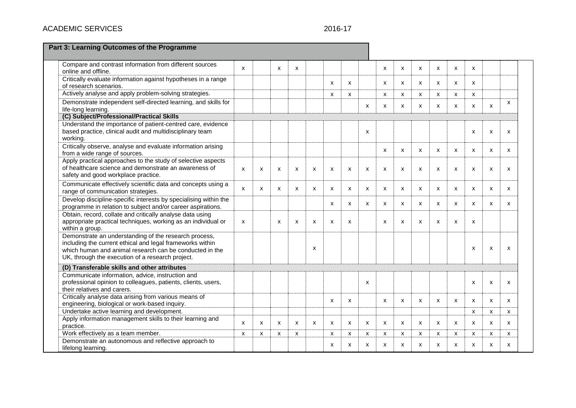# **ACADEMIC SERVICES**

## 2016-17

| Part 3: Learning Outcomes of the Programme                                                                                                                                                                                        |                           |                           |              |                           |                           |              |   |   |              |              |   |                           |                           |                           |                           |              |  |
|-----------------------------------------------------------------------------------------------------------------------------------------------------------------------------------------------------------------------------------|---------------------------|---------------------------|--------------|---------------------------|---------------------------|--------------|---|---|--------------|--------------|---|---------------------------|---------------------------|---------------------------|---------------------------|--------------|--|
| Compare and contrast information from different sources<br>online and offline.                                                                                                                                                    | $\mathbf{x}$              |                           | $\mathsf{x}$ | $\boldsymbol{\mathsf{x}}$ |                           |              |   |   | X            | X            | X | $\mathsf{x}$              | $\mathsf{x}$              | $\mathsf{x}$              |                           |              |  |
| Critically evaluate information against hypotheses in a range<br>of research scenarios.                                                                                                                                           |                           |                           |              |                           |                           | х            | X |   | х            | х            | x | x                         | x                         | X                         |                           |              |  |
| Actively analyse and apply problem-solving strategies.                                                                                                                                                                            |                           |                           |              |                           |                           | X            | X |   | X            | X            | X | $\boldsymbol{\mathsf{x}}$ | X                         | x                         |                           |              |  |
| Demonstrate independent self-directed learning, and skills for<br>life-long learning.                                                                                                                                             |                           |                           |              |                           |                           |              |   | x | x            | X            | x | x                         | $\boldsymbol{\mathsf{x}}$ | x                         | X                         | X            |  |
| (C) Subject/Professional/Practical Skills                                                                                                                                                                                         |                           |                           |              |                           |                           |              |   |   |              |              |   |                           |                           |                           |                           |              |  |
| Understand the importance of patient-centred care, evidence<br>based practice, clinical audit and multidisciplinary team<br>working.                                                                                              |                           |                           |              |                           |                           |              |   | x |              |              |   |                           |                           | X                         | X                         | $\mathsf{x}$ |  |
| Critically observe, analyse and evaluate information arising<br>from a wide range of sources.                                                                                                                                     |                           |                           |              |                           |                           |              |   |   | X            | X            | X | $\boldsymbol{\mathsf{x}}$ | X                         | X                         | X                         | $\mathsf{x}$ |  |
| Apply practical approaches to the study of selective aspects<br>of healthcare science and demonstrate an awareness of<br>safety and good workplace practice.                                                                      | X                         | х                         | х            | x                         | X                         | х            | х | x | х            | х            | x | X                         | х                         | x                         | х                         | х            |  |
| Communicate effectively scientific data and concepts using a<br>range of communication strategies.                                                                                                                                | $\mathsf{x}$              | $\mathsf{x}$              | $\mathsf{x}$ | $\boldsymbol{\mathsf{x}}$ | $\mathsf{x}$              | X            | X | X | $\mathsf{x}$ | $\mathsf{x}$ | X | $\mathsf{x}$              | $\mathsf{x}$              | $\boldsymbol{\mathsf{x}}$ | $\boldsymbol{\mathsf{x}}$ | $\mathsf{x}$ |  |
| Develop discipline-specific interests by specialising within the<br>programme in relation to subject and/or career aspirations.                                                                                                   |                           |                           |              |                           |                           | x            | x | x | x            | х            | x | x                         | x                         | $\mathsf{x}$              | X                         | x            |  |
| Obtain, record, collate and critically analyse data using<br>appropriate practical techniques, working as an individual or<br>within a group.                                                                                     | $\boldsymbol{\mathsf{x}}$ |                           | $\mathsf{x}$ | $\boldsymbol{\mathsf{x}}$ | $\boldsymbol{\mathsf{x}}$ | x            | X |   | X            | $\mathsf{x}$ | X | $\boldsymbol{\mathsf{x}}$ | X                         | X                         |                           |              |  |
| Demonstrate an understanding of the research process,<br>including the current ethical and legal frameworks within<br>which human and animal research can be conducted in the<br>UK, through the execution of a research project. |                           |                           |              |                           | $\boldsymbol{\mathsf{x}}$ |              |   |   |              |              |   |                           |                           | X                         | X                         | $\mathsf{x}$ |  |
| (D) Transferable skills and other attributes                                                                                                                                                                                      |                           |                           |              |                           |                           |              |   |   |              |              |   |                           |                           |                           |                           |              |  |
| Communicate information, advice, instruction and<br>professional opinion to colleagues, patients, clients, users,<br>their relatives and carers.                                                                                  |                           |                           |              |                           |                           |              |   | X |              |              |   |                           |                           | $\boldsymbol{\mathsf{x}}$ | X                         | $\mathsf{x}$ |  |
| Critically analyse data arising from various means of<br>engineering, biological or work-based inquiry.                                                                                                                           |                           |                           |              |                           |                           | x            | х |   | х            | x            | x | x                         | х                         | х                         | X                         | x            |  |
| Undertake active learning and development.                                                                                                                                                                                        |                           |                           |              |                           |                           |              |   |   |              |              |   |                           |                           | X                         | X                         | $\mathsf{x}$ |  |
| Apply information management skills to their learning and<br>practice.                                                                                                                                                            | $\boldsymbol{\mathsf{x}}$ | $\boldsymbol{\mathsf{x}}$ | x            | X                         | x                         | x            | X | x | x            | X            | X | x                         | x                         | x                         | X                         | X            |  |
| Work effectively as a team member.                                                                                                                                                                                                | $\boldsymbol{\mathsf{x}}$ | x                         | х            | x                         |                           | x            | x | x | x            | x            | x | X                         | x                         | x                         | X                         | x            |  |
| Demonstrate an autonomous and reflective approach to<br>lifelong learning.                                                                                                                                                        |                           |                           |              |                           |                           | $\mathsf{x}$ | X | X | $\mathsf{x}$ | x            | X | $\boldsymbol{\mathsf{x}}$ | $\mathsf{x}$              | X                         | $\boldsymbol{\mathsf{x}}$ | $\mathsf{x}$ |  |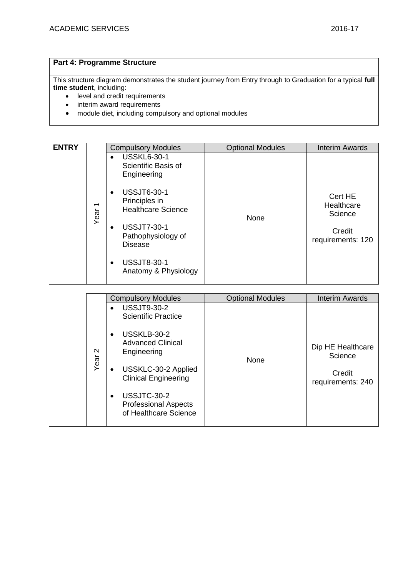requirements: 240

## **Part 4: Programme Structure**

This structure diagram demonstrates the student journey from Entry through to Graduation for a typical **full time student**, including:

- level and credit requirements
- interim award requirements
- module diet, including compulsory and optional modules

USSJTC-30-2

Professional Aspects of Healthcare Science

| <b>ENTRY</b> |                                  | <b>Compulsory Modules</b>                                                                                                                                                                                                                                                                    | <b>Optional Modules</b> | <b>Interim Awards</b>                                           |
|--------------|----------------------------------|----------------------------------------------------------------------------------------------------------------------------------------------------------------------------------------------------------------------------------------------------------------------------------------------|-------------------------|-----------------------------------------------------------------|
|              | $\overline{\phantom{0}}$<br>Year | <b>USSKL6-30-1</b><br>$\bullet$<br>Scientific Basis of<br>Engineering<br><b>USSJT6-30-1</b><br>$\bullet$<br>Principles in<br><b>Healthcare Science</b><br><b>USSJT7-30-1</b><br>$\bullet$<br>Pathophysiology of<br><b>Disease</b><br><b>USSJT8-30-1</b><br>$\bullet$<br>Anatomy & Physiology | None                    | Cert HE<br>Healthcare<br>Science<br>Credit<br>requirements: 120 |
|              |                                  |                                                                                                                                                                                                                                                                                              |                         |                                                                 |
|              |                                  | <b>Compulsory Modules</b>                                                                                                                                                                                                                                                                    | <b>Optional Modules</b> | <b>Interim Awards</b>                                           |
|              |                                  | <b>USSJT9-30-2</b><br><b>Scientific Practice</b>                                                                                                                                                                                                                                             |                         |                                                                 |
|              | $\mathbf{\Omega}$<br>Year        | USSKLB-30-2<br>$\bullet$<br><b>Advanced Clinical</b><br>Engineering<br>USSKLC-30-2 Applied<br>$\bullet$<br><b>Clinical Engineering</b>                                                                                                                                                       | None                    | Dip HE Healthcare<br>Science<br>Credit<br>roquiromonto: 210     |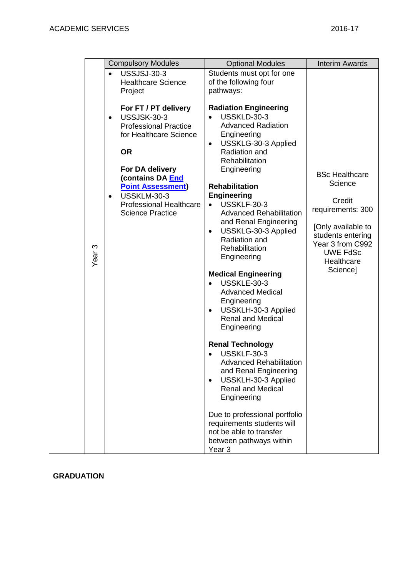|                   |                        | <b>Compulsory Modules</b>                                                                                                                                                                                                                                        | <b>Optional Modules</b>                                                                                                                                                                                                                                                                                                                                                                                                                                                                                                                                                                                                                                                                                                                                                                                                                                                       | <b>Interim Awards</b>                                                                                                                                                       |
|-------------------|------------------------|------------------------------------------------------------------------------------------------------------------------------------------------------------------------------------------------------------------------------------------------------------------|-------------------------------------------------------------------------------------------------------------------------------------------------------------------------------------------------------------------------------------------------------------------------------------------------------------------------------------------------------------------------------------------------------------------------------------------------------------------------------------------------------------------------------------------------------------------------------------------------------------------------------------------------------------------------------------------------------------------------------------------------------------------------------------------------------------------------------------------------------------------------------|-----------------------------------------------------------------------------------------------------------------------------------------------------------------------------|
|                   |                        | <b>USSJSJ-30-3</b><br><b>Healthcare Science</b><br>Project                                                                                                                                                                                                       | Students must opt for one<br>of the following four<br>pathways:                                                                                                                                                                                                                                                                                                                                                                                                                                                                                                                                                                                                                                                                                                                                                                                                               |                                                                                                                                                                             |
| Year <sub>3</sub> | $\bullet$<br>$\bullet$ | For FT / PT delivery<br>USSJSK-30-3<br><b>Professional Practice</b><br>for Healthcare Science<br><b>OR</b><br>For DA delivery<br>(contains DA End<br><b>Point Assessment)</b><br><b>USSKLM-30-3</b><br><b>Professional Healthcare</b><br><b>Science Practice</b> | <b>Radiation Engineering</b><br>USSKLD-30-3<br><b>Advanced Radiation</b><br>Engineering<br>USSKLG-30-3 Applied<br>$\bullet$<br>Radiation and<br>Rehabilitation<br>Engineering<br><b>Rehabilitation</b><br><b>Engineering</b><br>USSKLF-30-3<br><b>Advanced Rehabilitation</b><br>and Renal Engineering<br>USSKLG-30-3 Applied<br>$\bullet$<br>Radiation and<br>Rehabilitation<br>Engineering<br><b>Medical Engineering</b><br><b>USSKLE-30-3</b><br><b>Advanced Medical</b><br>Engineering<br>USSKLH-30-3 Applied<br><b>Renal and Medical</b><br>Engineering<br><b>Renal Technology</b><br>USSKLF-30-3<br><b>Advanced Rehabilitation</b><br>and Renal Engineering<br>USSKLH-30-3 Applied<br><b>Renal and Medical</b><br>Engineering<br>Due to professional portfolio<br>requirements students will<br>not be able to transfer<br>between pathways within<br>Year <sub>3</sub> | <b>BSc Healthcare</b><br>Science<br>Credit<br>requirements: 300<br>[Only available to<br>students entering<br>Year 3 from C992<br><b>UWE FdSc</b><br>Healthcare<br>Science] |

# **GRADUATION**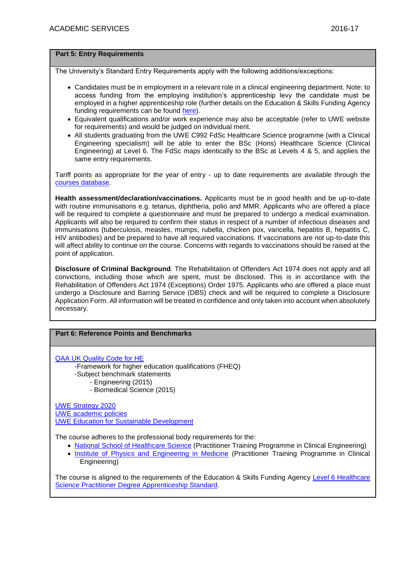#### **Part 5: Entry Requirements**

The University's Standard Entry Requirements apply with the following additions/exceptions:

- Candidates must be in employment in a relevant role in a clinical engineering department. Note: to access funding from the employing institution's apprenticeship levy the candidate must be employed in a higher apprenticeship role (further details on the Education & Skills Funding Agency funding requirements can be found [here\)](https://www.gov.uk/guidance/sfa-funding-rules).
- Equivalent qualifications and/or work experience may also be acceptable (refer to UWE website for requirements) and would be judged on individual merit.
- All students graduating from the UWE C992 FdSc Healthcare Science programme (with a Clinical Engineering specialism) will be able to enter the BSc (Hons) Healthcare Science (Clinical Engineering) at Level 6. The FdSc maps identically to the BSc at Levels 4 & 5, and applies the same entry requirements.

Tariff points as appropriate for the year of entry - up to date requirements are available through the [courses database.](http://www1.uwe.ac.uk/whatcanistudy/courses)

**Health assessment/declaration/vaccinations.** Applicants must be in good health and be up-to-date with routine immunisations e.g. tetanus, diphtheria, polio and MMR. Applicants who are offered a place will be required to complete a questionnaire and must be prepared to undergo a medical examination. Applicants will also be required to confirm their status in respect of a number of infectious diseases and immunisations (tuberculosis, measles, mumps, rubella, chicken pox, varicella, hepatitis B, hepatitis C, HIV antibodies) and be prepared to have all required vaccinations. If vaccinations are not up-to-date this will affect ability to continue on the course. Concerns with regards to vaccinations should be raised at the point of application.

**Disclosure of Criminal Background**. The Rehabilitation of Offenders Act 1974 does not apply and all convictions, including those which are spent, must be disclosed. This is in accordance with the Rehabilitation of Offenders Act 1974 (Exceptions) Order 1975. Applicants who are offered a place must undergo a Disclosure and Barring Service (DBS) check and will be required to complete a Disclosure Application Form. All information will be treated in confidence and only taken into account when absolutely necessary.

## **Part 6: Reference Points and Benchmarks**

[QAA UK Quality Code for HE](http://www.qaa.ac.uk/assuringstandardsandquality/quality-code/Pages/default.aspx)

-Framework for higher education qualifications (FHEQ) -Subject benchmark statements

- Engineering (2015)

- Biomedical Science (2015)

[UWE Strategy 2020](http://www1.uwe.ac.uk/about/corporateinformation/strategy.aspx)

[UWE academic](http://www1.uwe.ac.uk/aboutus/policies) policies

[UWE Education for Sustainable Development](http://www1.uwe.ac.uk/about/corporateinformation/sustainability/education.aspx)

The course adheres to the professional body requirements for the:

- [National School of Healthcare Science](https://www.networks.nhs.uk/nhs-networks/msc-framework-curricula/ptp-1/learning-outcomes-indicative-content-and-training-programme-manuals) (Practitioner Training Programme in Clinical Engineering)
- [Institute of Physics and Engineering in Medicine](http://www.ipem.ac.uk/CareersTraining/IPEMAccreditedcourses.aspx) (Practitioner Training Programme in Clinical Engineering)

The course is aligned to the requirements of the Education & Skills Funding Agency Level 6 Healthcare [Science Practitioner Degree Apprenticeship Standard.](https://www.gov.uk/government/publications/apprenticeship-standard-healthcare-science-practitioner-degree-apprenticeship)